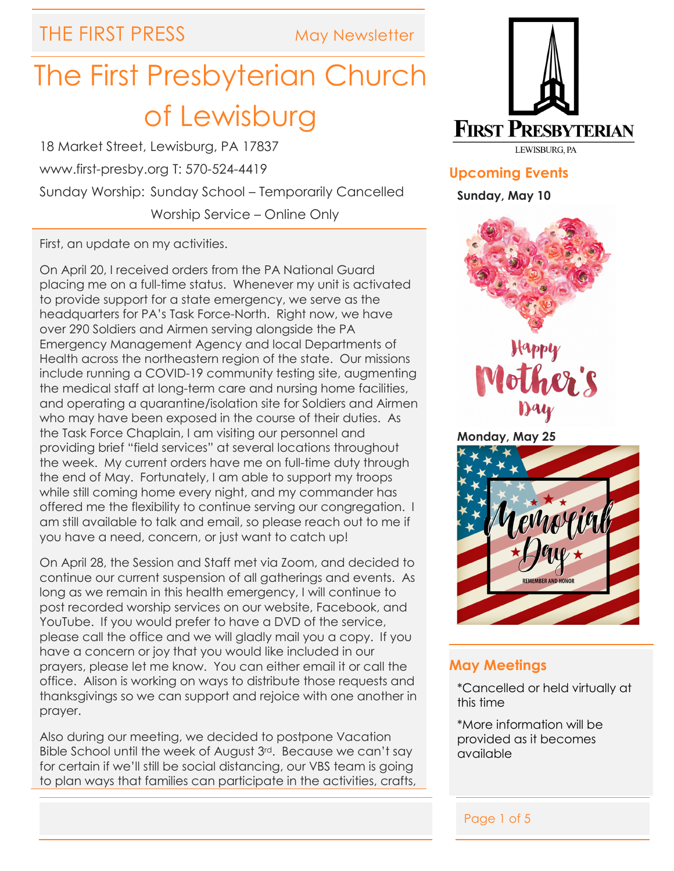THE FIRST PRESS May Newsletter

# The First Presbyterian Church of Lewisburg

18 Market Street, Lewisburg, PA 17837 www.first-presby.org T: 570-524-4419 Sunday Worship: Sunday School – Temporarily Cancelled Worship Service – Online Only

First, an update on my activities.

On April 20, I received orders from the PA National Guard placing me on a full-time status. Whenever my unit is activated to provide support for a state emergency, we serve as the headquarters for PA's Task Force-North. Right now, we have over 290 Soldiers and Airmen serving alongside the PA Emergency Management Agency and local Departments of Health across the northeastern region of the state. Our missions include running a COVID-19 community testing site, augmenting the medical staff at long-term care and nursing home facilities, and operating a quarantine/isolation site for Soldiers and Airmen who may have been exposed in the course of their duties. As the Task Force Chaplain, I am visiting our personnel and providing brief "field services" at several locations throughout the week. My current orders have me on full-time duty through the end of May. Fortunately, I am able to support my troops while still coming home every night, and my commander has offered me the flexibility to continue serving our congregation. I am still available to talk and email, so please reach out to me if you have a need, concern, or just want to catch up!

On April 28, the Session and Staff met via Zoom, and decided to continue our current suspension of all gatherings and events. As long as we remain in this health emergency, I will continue to post recorded worship services on our website, Facebook, and YouTube. If you would prefer to have a DVD of the service, please call the office and we will gladly mail you a copy. If you have a concern or joy that you would like included in our prayers, please let me know. You can either email it or call the office. Alison is working on ways to distribute those requests and thanksgivings so we can support and rejoice with one another in prayer.

Also during our meeting, we decided to postpone Vacation Bible School until the week of August 3rd. Because we can't say for certain if we'll still be social distancing, our VBS team is going to plan ways that families can participate in the activities, crafts,



**Upcoming Events**

**Sunday, May 10**





**Monday, May 25**



# **May Meetings**

\*Cancelled or held virtually at this time

\*More information will be provided as it becomes available

j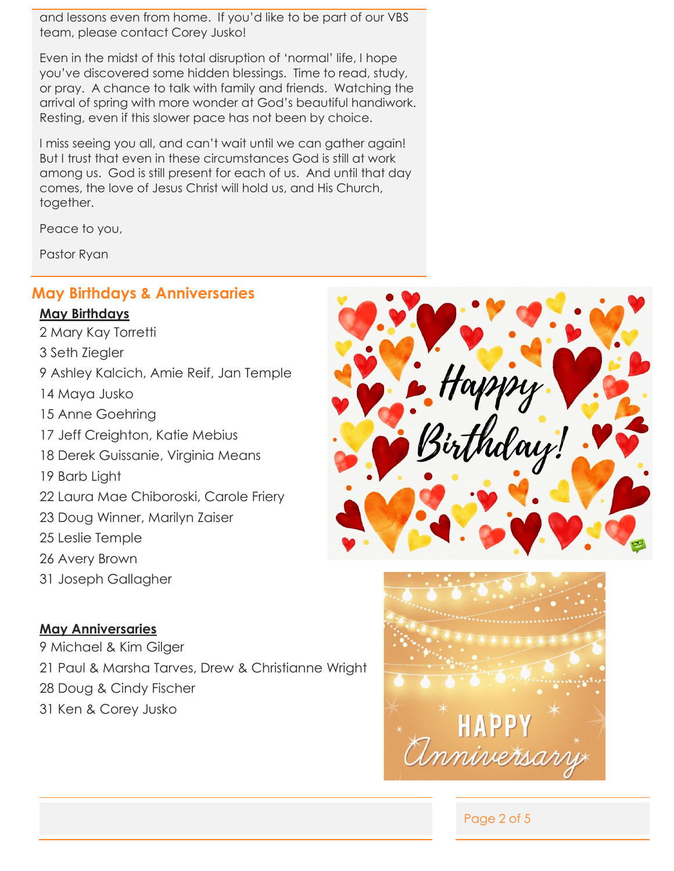and lessons even from home. If you'd like to be part of our VBS team, please contact Corey Jusko!

Even in the midst of this total disruption of 'normal' life, I hope you've discovered some hidden blessings. Time to read, study, or pray. A chance to talk with family and friends. Watching the arrival of spring with more wonder at God's beautiful handiwork. Resting, even if this slower pace has not been by choice.

I miss seeing you all, and can't wait until we can gather again! But I trust that even in these circumstances God is still at work among us. God is still present for each of us. And until that day comes, the love of Jesus Christ will hold us, and His Church, together.

Peace to you,

Pastor Ryan

## **May Birthdays & Anniversaries**

#### **May Birthdays**

2 Mary Kay Torretti 3 Seth Ziegler 9 Ashley Kalcich, Amie Reif, Jan Temple 14 Maya Jusko 15 Anne Goehring 17 Jeff Creighton, Katie Mebius 18 Derek Guissanie, Virginia Means 19 Barb Light 22 Laura Mae Chiboroski, Carole Friery 23 Doug Winner, Marilyn Zaiser 25 Leslie Temple 26 Avery Brown 31 Joseph Gallagher

#### **May Anniversaries**

9 Michael & Kim Gilger 21 Paul & Marsha Tarves, Drew & Christianne Wright 28 Doug & Cindy Fischer 31 Ken & Corey Jusko





Page 2 of 5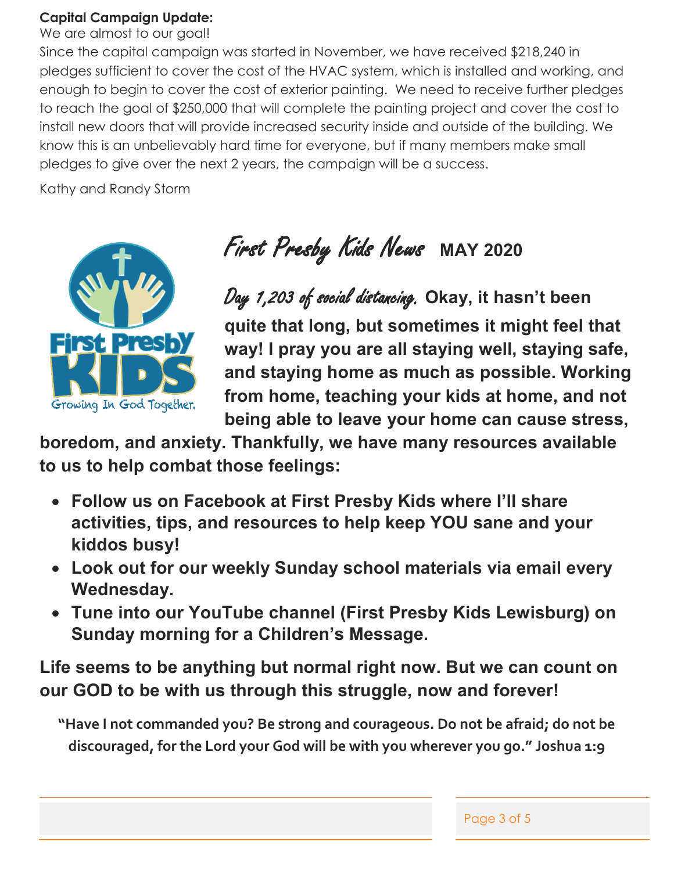# **Capital Campaign Update:**

We are almost to our goal!

Since the capital campaign was started in November, we have received \$218,240 in pledges sufficient to cover the cost of the HVAC system, which is installed and working, and enough to begin to cover the cost of exterior painting. We need to receive further pledges to reach the goal of \$250,000 that will complete the painting project and cover the cost to install new doors that will provide increased security inside and outside of the building. We know this is an unbelievably hard time for everyone, but if many members make small pledges to give over the next 2 years, the campaign will be a success.

Kathy and Randy Storm



First Presby Kids News**MAY 2020**

Day 1,203 of social distancing. **Okay, it hasn't been quite that long, but sometimes it might feel that way! I pray you are all staying well, staying safe, and staying home as much as possible. Working from home, teaching your kids at home, and not being able to leave your home can cause stress,** 

**boredom, and anxiety. Thankfully, we have many resources available to us to help combat those feelings:**

- **Follow us on Facebook at First Presby Kids where I'll share activities, tips, and resources to help keep YOU sane and your kiddos busy!**
- **Look out for our weekly Sunday school materials via email every Wednesday.**
- **Tune into our YouTube channel (First Presby Kids Lewisburg) on Sunday morning for a Children's Message.**

**Life seems to be anything but normal right now. But we can count on our GOD to be with us through this struggle, now and forever!** 

**"Have I not commanded you? Be strong and courageous. Do not be afraid; do not be discouraged, for the Lord your God will be with you wherever you go." Joshua 1:9**

| Page 3 of 5 |  |  |
|-------------|--|--|
|             |  |  |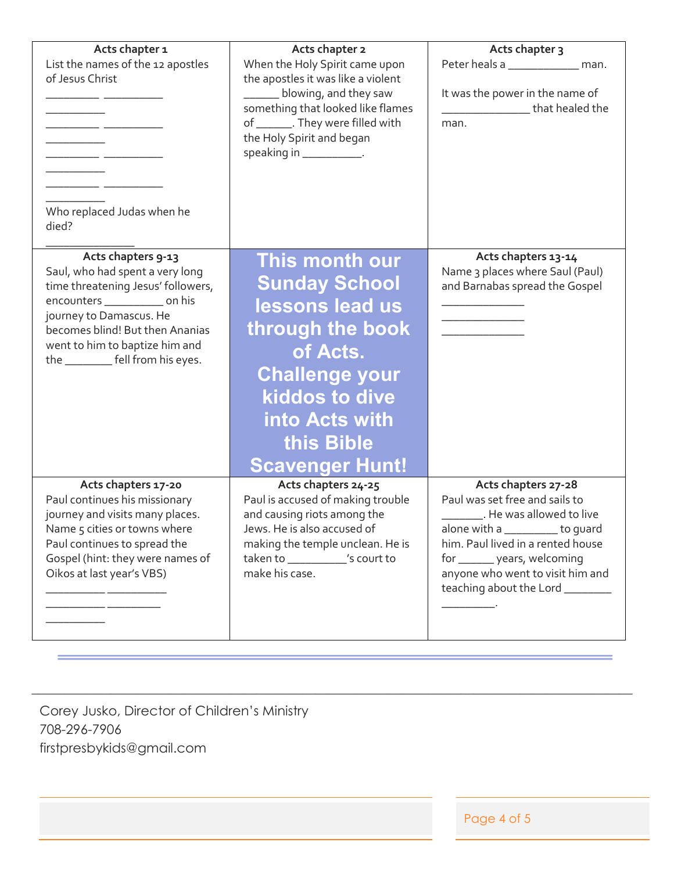| Acts chapter 1<br>List the names of the 12 apostles<br>of Jesus Christ<br>Who replaced Judas when he<br>died?                                                                                                                                                         | Acts chapter 2<br>When the Holy Spirit came upon<br>the apostles it was like a violent<br>______ blowing, and they saw<br>something that looked like flames<br>of ________. They were filled with<br>the Holy Spirit and began<br>speaking in ____________. | Acts chapter 3<br>Peter heals a ______________ man.<br>It was the power in the name of<br>_____________________that healed the<br>man.                                                                                                                                        |
|-----------------------------------------------------------------------------------------------------------------------------------------------------------------------------------------------------------------------------------------------------------------------|-------------------------------------------------------------------------------------------------------------------------------------------------------------------------------------------------------------------------------------------------------------|-------------------------------------------------------------------------------------------------------------------------------------------------------------------------------------------------------------------------------------------------------------------------------|
| Acts chapters 9-13<br>Saul, who had spent a very long<br>time threatening Jesus' followers,<br>encounters _____________ on his<br>journey to Damascus. He<br>becomes blind! But then Ananias<br>went to him to baptize him and<br>the ___________ fell from his eyes. | This month our<br><b>Sunday School</b><br>lessons lead us<br>through the book<br>of Acts.<br><b>Challenge your</b><br>kiddos to dive<br><b>into Acts with</b><br>this Bible<br><b>Scavenger Hunt!</b>                                                       | Acts chapters 13-14<br>Name 3 places where Saul (Paul)<br>and Barnabas spread the Gospel                                                                                                                                                                                      |
| Acts chapters 17-20<br>Paul continues his missionary<br>journey and visits many places.<br>Name 5 cities or towns where<br>Paul continues to spread the<br>Gospel (hint: they were names of<br>Oikos at last year's VBS)                                              | Acts chapters 24-25<br>Paul is accused of making trouble<br>and causing riots among the<br>Jews. He is also accused of<br>making the temple unclean. He is<br>taken to ____________'s court to<br>make his case.                                            | Acts chapters 27-28<br>Paul was set free and sails to<br>__________. He was allowed to live<br>alone with a __________ to guard<br>him. Paul lived in a rented house<br>for ________ years, welcoming<br>anyone who went to visit him and<br>teaching about the Lord ________ |

\_\_\_\_\_\_\_\_\_\_\_\_\_\_\_\_\_\_\_\_\_\_\_\_\_\_\_\_\_\_\_\_\_\_\_\_\_\_\_\_\_\_\_\_\_\_\_\_\_\_\_\_\_\_\_\_\_\_\_\_\_\_\_\_\_\_\_\_\_\_\_\_\_\_\_\_\_\_\_\_\_\_\_\_\_\_\_\_\_\_\_

Corey Jusko, Director of Children's Ministry 708-296-7906 firstpresbykids@gmail.com

Page 4 of 5